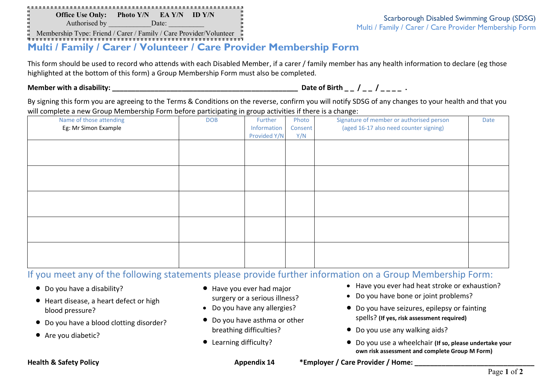**Office Use Only: Photo Y/N EA Y/N ID Y/N** Authorised by **Date:** 

V00004

Scarborough Disabled Swimming Group (SDSG) Multi / Family / Carer / Care Provider Membership Form

Membership Type: Friend / Carer / Family / Care Provider/Volunteer

# **Multi / Family / Carer / Volunteer / Care Provider Membership Form**

This form should be used to record who attends with each Disabled Member, if a carer / family member has any health information to declare (eg those highlighted at the bottom of this form) a Group Membership Form must also be completed.

**Member with a disability: \_\_\_\_\_\_\_\_\_\_\_\_\_\_\_\_\_\_\_\_\_\_\_\_\_\_\_\_\_\_\_\_\_\_\_\_\_\_\_\_\_\_\_\_\_\_\_\_ Date of Birth \_ \_ / \_ \_ / \_ \_ \_ \_ .** 

By signing this form you are agreeing to the Terms & Conditions on the reverse, confirm you will notify SDSG of any changes to your health and that you will complete a new Group Membership Form before participating in group activities if there is a change:

| . .                     | $\sim$     | . .          |         | ັ                                        |      |
|-------------------------|------------|--------------|---------|------------------------------------------|------|
| Name of those attending | <b>DOB</b> | Further      | Photo   | Signature of member or authorised person | Date |
| Eg: Mr Simon Example    |            | Information  | Consent | (aged 16-17 also need counter signing)   |      |
|                         |            | Provided Y/N | Y/N     |                                          |      |
|                         |            |              |         |                                          |      |
|                         |            |              |         |                                          |      |
|                         |            |              |         |                                          |      |
|                         |            |              |         |                                          |      |
|                         |            |              |         |                                          |      |
|                         |            |              |         |                                          |      |
|                         |            |              |         |                                          |      |
|                         |            |              |         |                                          |      |
|                         |            |              |         |                                          |      |
|                         |            |              |         |                                          |      |
|                         |            |              |         |                                          |      |
|                         |            |              |         |                                          |      |
|                         |            |              |         |                                          |      |
|                         |            |              |         |                                          |      |
|                         |            |              |         |                                          |      |
|                         |            |              |         |                                          |      |
|                         |            |              |         |                                          |      |

## If you meet any of the following statements please provide further information on a Group Membership Form:

- Do you have a disability?
- Heart disease, a heart defect or high blood pressure?
- Do you have a blood clotting disorder?
- Are you diabetic?
- Have you ever had major
- surgery or a serious illness?
- Do you have any allergies?
- Do you have asthma or other breathing difficulties?
- Learning difficulty?
- Have you ever had heat stroke or exhaustion?
- Do you have bone or joint problems?
- Do you have seizures, epilepsy or fainting spells? **(If yes, risk assessment required)**
- Do you use any walking aids?
- Do you use a wheelchair **(If so, please undertake your own risk assessment and complete Group M Form)**

**Health & Safety Policy Care Appendix 14 the Safety Policy Care Provider / Home:** Appendix 14 the structure of the Me